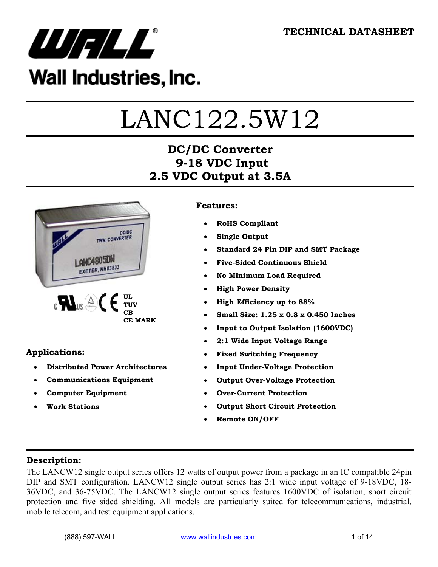

## Wall Industries, Inc.

# LANC122.5W12

## **DC/DC Converter 9-18 VDC Input 2.5 VDC Output at 3.5A**



#### **Applications:**

- **Distributed Power Architectures**
- **Communications Equipment**
- **Computer Equipment**
- **Work Stations**

#### **Features:**

- **RoHS Compliant**
- **Single Output**
- **Standard 24 Pin DIP and SMT Package**
- **Five-Sided Continuous Shield**
- **No Minimum Load Required**
- **High Power Density**
- **High Efficiency up to 88%**
- **Small Size: 1.25 x 0.8 x 0.450 Inches**
- **Input to Output Isolation (1600VDC)**
- **2:1 Wide Input Voltage Range**
- **Fixed Switching Frequency**
- **Input Under-Voltage Protection**
- **Output Over-Voltage Protection**
- **Over-Current Protection**
- **Output Short Circuit Protection**
- **Remote ON/OFF**

#### **Description:**

The LANCW12 single output series offers 12 watts of output power from a package in an IC compatible 24pin DIP and SMT configuration. LANCW12 single output series has 2:1 wide input voltage of 9-18VDC, 18- 36VDC, and 36-75VDC. The LANCW12 single output series features 1600VDC of isolation, short circuit protection and five sided shielding. All models are particularly suited for telecommunications, industrial, mobile telecom, and test equipment applications.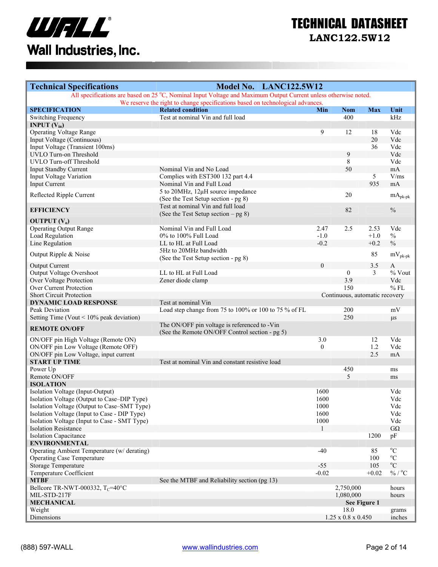

| <b>Technical Specifications</b>                                                             | Model No. LANC122.5W12                                                                                          |                  |                                |                  |                             |
|---------------------------------------------------------------------------------------------|-----------------------------------------------------------------------------------------------------------------|------------------|--------------------------------|------------------|-----------------------------|
|                                                                                             | All specifications are based on 25 °C, Nominal Input Voltage and Maximum Output Current unless otherwise noted. |                  |                                |                  |                             |
| <b>SPECIFICATION</b>                                                                        | We reserve the right to change specifications based on technological advances.<br><b>Related condition</b>      | Min              | <b>Nom</b>                     | <b>Max</b>       | Unit                        |
| Switching Frequency                                                                         | Test at nominal Vin and full load                                                                               |                  | 400                            |                  | kHz                         |
| <b>INPUT</b> $(V_{in})$                                                                     |                                                                                                                 |                  |                                |                  |                             |
| <b>Operating Voltage Range</b>                                                              |                                                                                                                 | 9                | 12                             | 18               | Vdc                         |
| Input Voltage (Continuous)                                                                  |                                                                                                                 |                  |                                | 20               | Vdc                         |
| Input Voltage (Transient 100ms)                                                             |                                                                                                                 |                  |                                | 36               | Vdc                         |
| UVLO Turn-on Threshold                                                                      |                                                                                                                 |                  | 9                              |                  | Vdc                         |
| UVLO Turn-off Threshold                                                                     |                                                                                                                 |                  | 8                              |                  | Vdc                         |
| <b>Input Standby Current</b>                                                                | Nominal Vin and No Load                                                                                         |                  | 50                             |                  | mA                          |
| Input Voltage Variation                                                                     | Complies with EST300 132 part 4.4                                                                               |                  |                                | $5\overline{)}$  | V/ms                        |
| Input Current                                                                               | Nominal Vin and Full Load                                                                                       |                  |                                | 935              | mA                          |
| Reflected Ripple Current                                                                    | 5 to 20MHz, 12µH source impedance                                                                               |                  | 20                             |                  | $mA_{pk\text{-}pk}$         |
|                                                                                             | (See the Test Setup section - pg 8)                                                                             |                  |                                |                  |                             |
| <b>EFFICIENCY</b>                                                                           | Test at nominal Vin and full load                                                                               |                  | 82                             |                  | $\%$                        |
|                                                                                             | (See the Test Setup section $-$ pg 8)                                                                           |                  |                                |                  |                             |
| <b>OUTPUT</b> $(V_0)$                                                                       |                                                                                                                 |                  |                                |                  |                             |
| <b>Operating Output Range</b>                                                               | Nominal Vin and Full Load                                                                                       | 2.47             | 2.5                            | 2.53             | Vdc                         |
| Load Regulation                                                                             | 0% to 100% Full Load<br>LL to HL at Full Load                                                                   | $-1.0$<br>$-0.2$ |                                | $+1.0$<br>$+0.2$ | $\%$<br>$\%$                |
| Line Regulation                                                                             | 5Hz to 20MHz bandwidth                                                                                          |                  |                                |                  |                             |
| Output Ripple & Noise                                                                       | (See the Test Setup section - pg 8)                                                                             |                  |                                | 85               | $mV_{\rm pk\mbox{-}pk}$     |
| <b>Output Current</b>                                                                       |                                                                                                                 | $\theta$         |                                | 3.5              | $\mathbf{A}$                |
| Output Voltage Overshoot                                                                    | LL to HL at Full Load                                                                                           |                  | $\boldsymbol{0}$               | 3                | % Vout                      |
| Over Voltage Protection                                                                     | Zener diode clamp                                                                                               |                  | 3.9                            |                  | Vdc                         |
| Over Current Protection                                                                     |                                                                                                                 |                  | 150                            |                  | $%$ FL                      |
| <b>Short Circuit Protection</b>                                                             |                                                                                                                 |                  | Continuous, automatic recovery |                  |                             |
| <b>DYNAMIC LOAD RESPONSE</b>                                                                | Test at nominal Vin                                                                                             |                  |                                |                  |                             |
| Peak Deviation                                                                              | Load step change from 75 to 100% or 100 to 75 % of FL                                                           |                  | 200                            |                  | mV                          |
| Setting Time (Vout $< 10\%$ peak deviation)                                                 |                                                                                                                 |                  | 250                            |                  | $\mu s$                     |
|                                                                                             | The ON/OFF pin voltage is referenced to -Vin                                                                    |                  |                                |                  |                             |
| <b>REMOTE ON/OFF</b>                                                                        | (See the Remote ON/OFF Control section - pg 5)                                                                  |                  |                                |                  |                             |
| ON/OFF pin High Voltage (Remote ON)                                                         |                                                                                                                 | 3.0              |                                | 12               | Vdc                         |
| ON/OFF pin Low Voltage (Remote OFF)                                                         |                                                                                                                 | $\theta$         |                                | 1.2              | Vdc                         |
| ON/OFF pin Low Voltage, input current                                                       |                                                                                                                 |                  |                                | 2.5              | mA                          |
| <b>START UP TIME</b>                                                                        | Test at nominal Vin and constant resistive load                                                                 |                  |                                |                  |                             |
| Power Up                                                                                    |                                                                                                                 |                  | 450                            |                  | ms                          |
| Remote ON/OFF                                                                               |                                                                                                                 |                  | 5                              |                  | ms                          |
| <b>ISOLATION</b>                                                                            |                                                                                                                 |                  |                                |                  |                             |
| Isolation Voltage (Input-Output)                                                            |                                                                                                                 | 1600             |                                |                  | Vdc                         |
| Isolation Voltage (Output to Case-DIP Type)                                                 |                                                                                                                 | 1600             |                                |                  | Vdc                         |
| Isolation Voltage (Output to Case–SMT Type)<br>Isolation Voltage (Input to Case - DIP Type) |                                                                                                                 | 1000<br>1600     |                                |                  | Vdc<br>Vdc                  |
| Isolation Voltage (Input to Case - SMT Type)                                                |                                                                                                                 | 1000             |                                |                  | Vdc                         |
| <b>Isolation Resistance</b>                                                                 |                                                                                                                 | -1               |                                |                  | $G\Omega$                   |
| <b>Isolation Capacitance</b>                                                                |                                                                                                                 |                  |                                | 1200             | pF                          |
| <b>ENVIRONMENTAL</b>                                                                        |                                                                                                                 |                  |                                |                  |                             |
| Operating Ambient Temperature (w/derating)                                                  |                                                                                                                 | $-40$            |                                | 85               | $\rm ^{o}C$                 |
| <b>Operating Case Temperature</b>                                                           |                                                                                                                 |                  |                                | 100              | $^{\circ}C$                 |
| <b>Storage Temperature</b>                                                                  |                                                                                                                 | $-55$            |                                | 105              | $\mathrm{^0C}$              |
| Temperature Coefficient                                                                     |                                                                                                                 | $-0.02$          |                                | $+0.02$          | $\%$ / $^{\rm o}\textrm{C}$ |
| <b>MTBF</b>                                                                                 | See the MTBF and Reliability section (pg 13)                                                                    |                  |                                |                  |                             |
| Bellcore TR-NWT-000332, $T_C$ =40°C                                                         |                                                                                                                 |                  | 2,750,000                      |                  | hours                       |
| MIL-STD-217F                                                                                |                                                                                                                 |                  | 1,080,000                      |                  | hours                       |
| <b>MECHANICAL</b>                                                                           |                                                                                                                 |                  | See Figure 1                   |                  |                             |
| Weight                                                                                      |                                                                                                                 |                  | 18.0                           |                  | grams                       |
| Dimensions                                                                                  |                                                                                                                 |                  | $1.25 \ge 0.8 \times 0.450$    |                  | inches                      |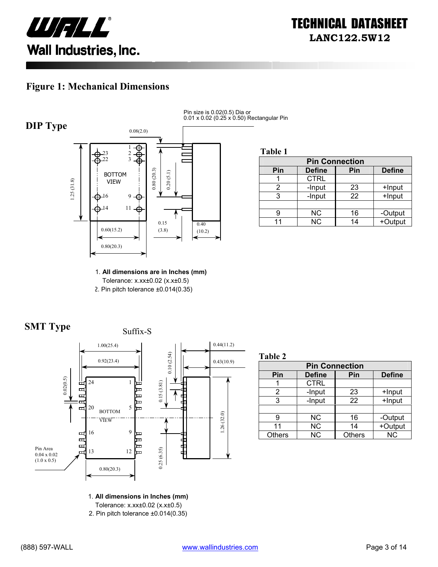

#### **Figure 1: Mechanical Dimensions**



Pin size is 0.02(0.5) Dia or 0.01 x 0.02 (0.25 x 0.50) Rectangular Pin

**Table 1**

| <b>Pin Connection</b> |               |     |               |
|-----------------------|---------------|-----|---------------|
| Pin                   | <b>Define</b> | Pin | <b>Define</b> |
|                       | <b>CTRL</b>   |     |               |
|                       | -Input        | 23  | +Input        |
|                       | -Input        | 22  | +Input        |
|                       |               |     |               |
|                       | <b>NC</b>     | 16  | -Output       |
|                       | <b>NC</b>     | 14  | +Output       |

1. **All dimensions are in Inches (mm)**  Tolerance: x.xx±0.02 (x.x±0.5) 2. Pin pitch tolerance ±0.014(0.35)





**Table 2**

| <b>Pin Connection</b> |               |               |               |  |
|-----------------------|---------------|---------------|---------------|--|
| Pin                   | <b>Define</b> | Pin           | <b>Define</b> |  |
|                       | <b>CTRL</b>   |               |               |  |
| 2                     | -Input        | 23            | +Input        |  |
| 3                     | -Input        | 22            | +Input        |  |
|                       |               |               |               |  |
| 9                     | NС            | 16            | -Output       |  |
| 11                    | <b>NC</b>     | 14            | +Output       |  |
| <b>Others</b>         | <b>NC</b>     | <b>Others</b> | <b>NC</b>     |  |

1. **All dimensions in Inches (mm)** 

Tolerance: x.xx±0.02 (x.x±0.5)

2. Pin pitch tolerance ±0.014(0.35)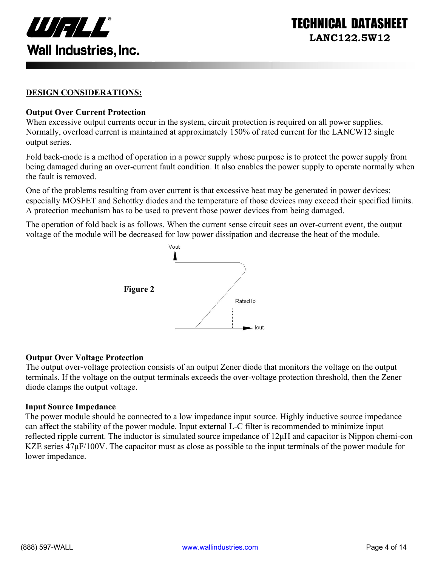

ECHNICAL DATASI **LANC122.5W12** 

#### **DESIGN CONSIDERATIONS:**

#### **Output Over Current Protection**

When excessive output currents occur in the system, circuit protection is required on all power supplies. Normally, overload current is maintained at approximately 150% of rated current for the LANCW12 single output series.

Fold back-mode is a method of operation in a power supply whose purpose is to protect the power supply from being damaged during an over-current fault condition. It also enables the power supply to operate normally when the fault is removed.

One of the problems resulting from over current is that excessive heat may be generated in power devices; especially MOSFET and Schottky diodes and the temperature of those devices may exceed their specified limits. A protection mechanism has to be used to prevent those power devices from being damaged.

The operation of fold back is as follows. When the current sense circuit sees an over-current event, the output voltage of the module will be decreased for low power dissipation and decrease the heat of the module.



#### **Output Over Voltage Protection**

The output over-voltage protection consists of an output Zener diode that monitors the voltage on the output terminals. If the voltage on the output terminals exceeds the over-voltage protection threshold, then the Zener diode clamps the output voltage.

#### **Input Source Impedance**

The power module should be connected to a low impedance input source. Highly inductive source impedance can affect the stability of the power module. Input external L-C filter is recommended to minimize input reflected ripple current. The inductor is simulated source impedance of 12µH and capacitor is Nippon chemi-con KZE series  $47\mu$ F/100V. The capacitor must as close as possible to the input terminals of the power module for lower impedance.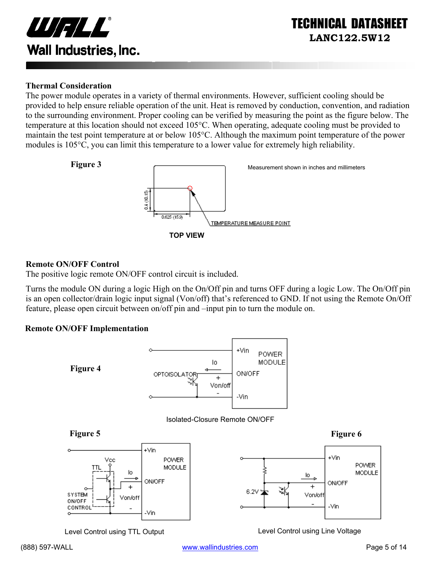

#### **Thermal Consideration**

The power module operates in a variety of thermal environments. However, sufficient cooling should be provided to help ensure reliable operation of the unit. Heat is removed by conduction, convention, and radiation to the surrounding environment. Proper cooling can be verified by measuring the point as the figure below. The temperature at this location should not exceed 105°C. When operating, adequate cooling must be provided to maintain the test point temperature at or below 105°C. Although the maximum point temperature of the power modules is 105°C, you can limit this temperature to a lower value for extremely high reliability.



#### **Remote ON/OFF Control**

The positive logic remote ON/OFF control circuit is included.

Turns the module ON during a logic High on the On/Off pin and turns OFF during a logic Low. The On/Off pin is an open collector/drain logic input signal (Von/off) that's referenced to GND. If not using the Remote On/Off feature, please open circuit between on/off pin and –input pin to turn the module on.

#### **Remote ON/OFF Implementation**



Level Control using TTL Output Level Control using Line Voltage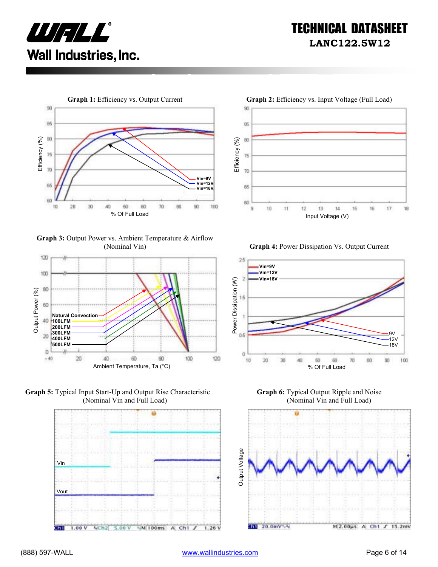



**Graph 3:** Output Power vs. Ambient Temperature & Airflow (Nominal Vin) **Graph 4:** Power Dissipation Vs. Output Current











**Graph 6:** Typical Output Ripple and Noise (Nominal Vin and Full Load)

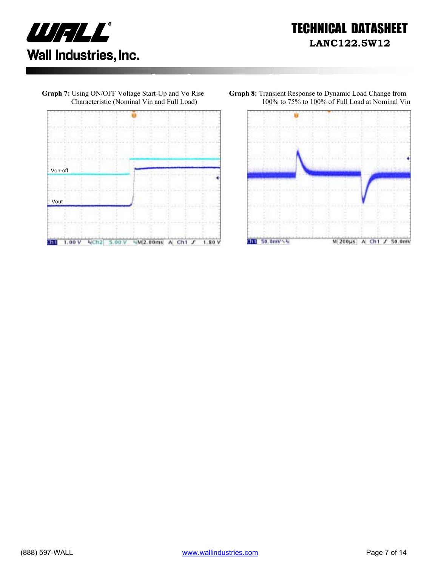



**Graph 7:** Using ON/OFF Voltage Start-Up and Vo Rise

**Graph 8:** Transient Response to Dynamic Load Change from 100% to 75% to 100% of Full Load at Nominal Vin

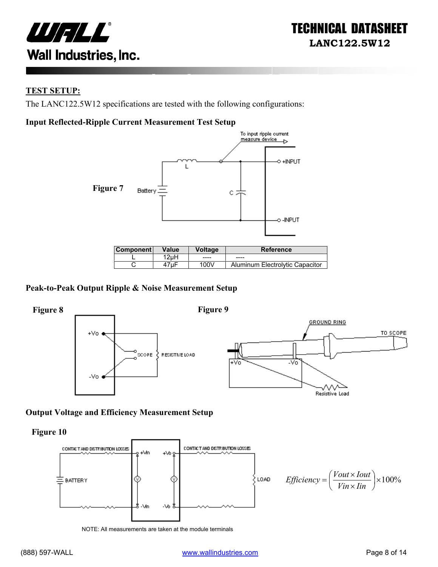

#### **TEST SETUP:**

The LANC122.5W12 specifications are tested with the following configurations:

#### **Input Reflected-Ripple Current Measurement Test Setup**



| <b>Component</b> | Value | Voltage | <b>Reference</b>                |
|------------------|-------|---------|---------------------------------|
|                  | 2uH   | ----    | ----                            |
|                  |       | 100V    | Aluminum Electrolytic Capacitor |

#### **Peak-to-Peak Output Ripple & Noise Measurement Setup**



#### **Output Voltage and Efficiency Measurement Setup**

**Figure 10** 



NOTE: All measurements are taken at the module terminals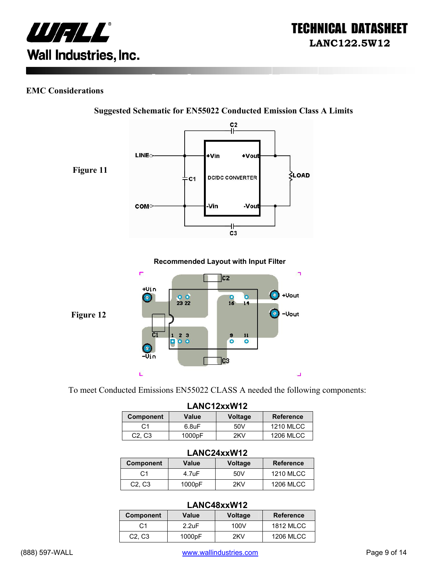

#### **EMC Considerations**



**Suggested Schematic for EN55022 Conducted Emission Class A Limits** 

To meet Conducted Emissions EN55022 CLASS A needed the following components:

| LANC12xxW12                     |             |                |                  |
|---------------------------------|-------------|----------------|------------------|
| <b>Component</b>                | Value       | <b>Voltage</b> | <b>Reference</b> |
| C1                              | $6.8$ u $F$ | 50V            | <b>1210 MLCC</b> |
| C <sub>2</sub> , C <sub>3</sub> | 1000pF      | 2KV            | <b>1206 MLCC</b> |

#### **LANC24xxW12**

| --------------                  |                    |                |                  |  |
|---------------------------------|--------------------|----------------|------------------|--|
| <b>Component</b>                | Value              | <b>Voltage</b> | <b>Reference</b> |  |
| C <sub>1</sub>                  | $4.7 \text{uF}$    | 50V            | <b>1210 MLCC</b> |  |
| C <sub>2</sub> , C <sub>3</sub> | 1000 <sub>pF</sub> | 2KV            | <b>1206 MLCC</b> |  |

#### **LANC48xxW12**

| ----------------                |                 |                |                  |  |
|---------------------------------|-----------------|----------------|------------------|--|
| <b>Component</b>                | Value           | <b>Voltage</b> | <b>Reference</b> |  |
| C <sub>1</sub>                  | $2.2 \text{uF}$ | 100V           | <b>1812 MLCC</b> |  |
| C <sub>2</sub> , C <sub>3</sub> | 1000pF          | 2KV            | <b>1206 MLCC</b> |  |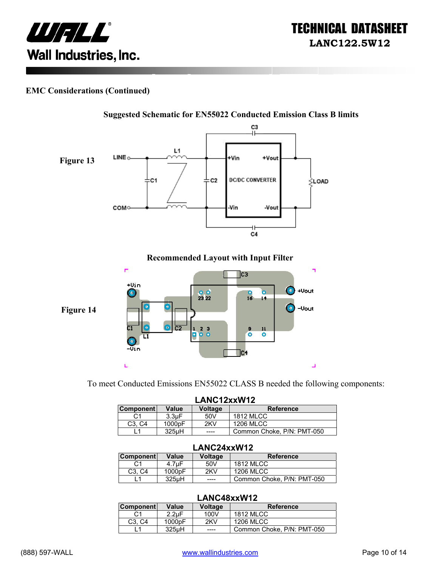

#### **EMC Considerations (Continued)**



To meet Conducted Emissions EN55022 CLASS B needed the following components:

| LANC12xxW12                     |                    |                |                            |
|---------------------------------|--------------------|----------------|----------------------------|
| <b>Component</b>                | <b>Value</b>       | <b>Voltage</b> | <b>Reference</b>           |
| C1                              | 3.3 <sub>U</sub> F | 50V            | <b>1812 MLCC</b>           |
| C <sub>3</sub> . C <sub>4</sub> | 1000pF             | 2KV            | <b>1206 MLCC</b>           |
|                                 | 325 <sub>u</sub> H | ----           | Common Choke, P/N: PMT-050 |

#### **LANC24xxW12**

| <b>Component</b>                | Value              | Voltage | <b>Reference</b>           |
|---------------------------------|--------------------|---------|----------------------------|
| С1                              | 4.7uF              | 50V     | <b>1812 MLCC</b>           |
| C <sub>3</sub> . C <sub>4</sub> | 1000 <sub>pF</sub> | 2KV     | 1206 MLCC                  |
|                                 | 325uH              | -----   | Common Choke, P/N: PMT-050 |

#### **LANC48xxW12**

| <b>Component</b>                | Value              | Voltage | <b>Reference</b>           |
|---------------------------------|--------------------|---------|----------------------------|
| C1                              | $2.2 \text{uF}$    | 100V    | <b>1812 MLCC</b>           |
| C <sub>3</sub> . C <sub>4</sub> | 1000 <sub>pF</sub> | 2KV     | <b>1206 MLCC</b>           |
|                                 | $325\mu H$         | ----    | Common Choke, P/N: PMT-050 |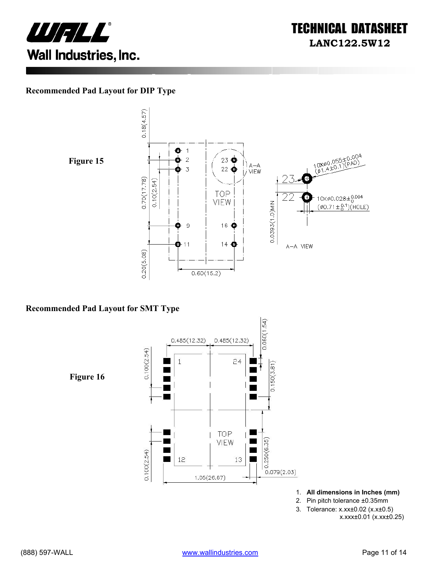

#### **Recommended Pad Layout for DIP Type**



 $0.18(4.57)$ o  $\vert$ 10X00.055±0.004<br>(01.4±0.1)(PAD)  $\bar{z}$  $23$   $\bullet$ | ) a—a<br>|*|* VIEW  $22\bigcirc$  $\overline{3}$  $0.70(17.78)$  $0.10(2.54)$ **TOP**  $10 \times \emptyset 0.028 \pm 0.004$ Ŧ VIEW 0.0393(1.0)MIN  $(\phi 0.71 \pm {}^{0.1}_{0})$ (HOLE)  $\mathbf 9$ 16 → æ  $14<sup>o</sup>$  $\mathbf{O}$ -11 A-A VIEW  $0.20(5.08)$  $0.60(15.2)$ 

#### **Recommended Pad Layout for SMT Type**

 $0.060(1.54)$  $0.485(12.32)$  $0.485(12.32)$  $0.100(2.54)$  $\overline{1}$  $24$  $0.150(3.81)$ **Figure 16** Ξ  $\blacksquare$ TOP Г VIEW  $0.250(6.35)$  $0.100(2.54)$ 12 13  $0.079(2.03)$  $1.05(26.67)$ 

- 1. **All dimensions in Inches (mm)**
- 2. Pin pitch tolerance ±0.35mm
- 3. Tolerance: x.xx±0.02 (x.x±0.5)

x.xxx±0.01 (x.xx±0.25)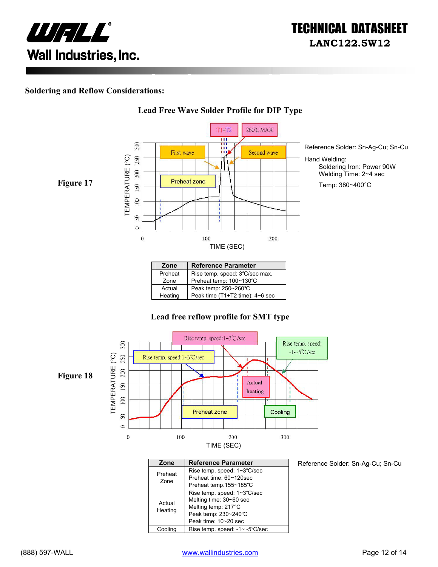

#### **Soldering and Reflow Considerations:**



**Lead Free Wave Solder Profile for DIP Type**

#### Preheat | Rise temp. speed: 3℃/sec max. Zone Preheat temp: 100~130℃ Actual Peak temp: 250~260°C<br>Heating Peak time (T1+T2 time) Peak time (T1+T2 time): 4~6 sec

#### **Lead free reflow profile for SMT type**



| Zone    | <b>Reference Parameter</b>     |
|---------|--------------------------------|
| Preheat | Rise temp. speed: 1~3°C/sec    |
| Zone    | Preheat time: 60~120sec        |
|         | Preheat temp.155~185°C         |
|         | Rise temp. speed: 1~3°C/sec    |
| Actual  | Melting time: 30~60 sec        |
| Heating | Melting temp: 217°C            |
|         | Peak temp: 230~240°C           |
|         | Peak time: 10~20 sec           |
| Coolina | Rise temp. speed: -1~ -5°C/sec |

Reference Solder: Sn-Ag-Cu; Sn-Cu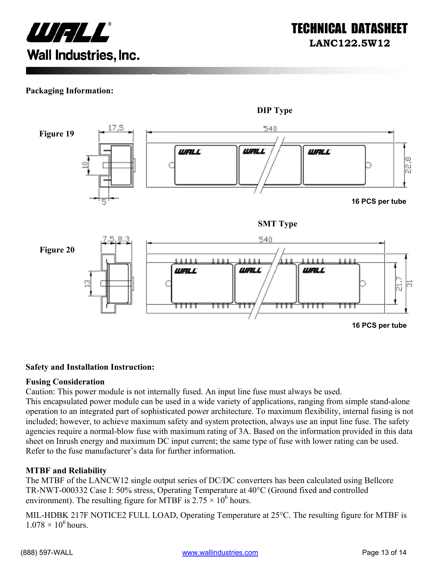

#### **Packaging Information:**



#### **Safety and Installation Instruction:**

#### **Fusing Consideration**

Caution: This power module is not internally fused. An input line fuse must always be used.

This encapsulated power module can be used in a wide variety of applications, ranging from simple stand-alone operation to an integrated part of sophisticated power architecture. To maximum flexibility, internal fusing is not included; however, to achieve maximum safety and system protection, always use an input line fuse. The safety agencies require a normal-blow fuse with maximum rating of 3A. Based on the information provided in this data sheet on Inrush energy and maximum DC input current; the same type of fuse with lower rating can be used. Refer to the fuse manufacturer's data for further information.

#### **MTBF and Reliability**

The MTBF of the LANCW12 single output series of DC/DC converters has been calculated using Bellcore TR-NWT-000332 Case I: 50% stress, Operating Temperature at 40°C (Ground fixed and controlled environment). The resulting figure for MTBF is  $2.75 \times 10^6$  hours.

MIL-HDBK 217F NOTICE2 FULL LOAD, Operating Temperature at 25°C. The resulting figure for MTBF is  $1.078 \times 10^6$  hours.